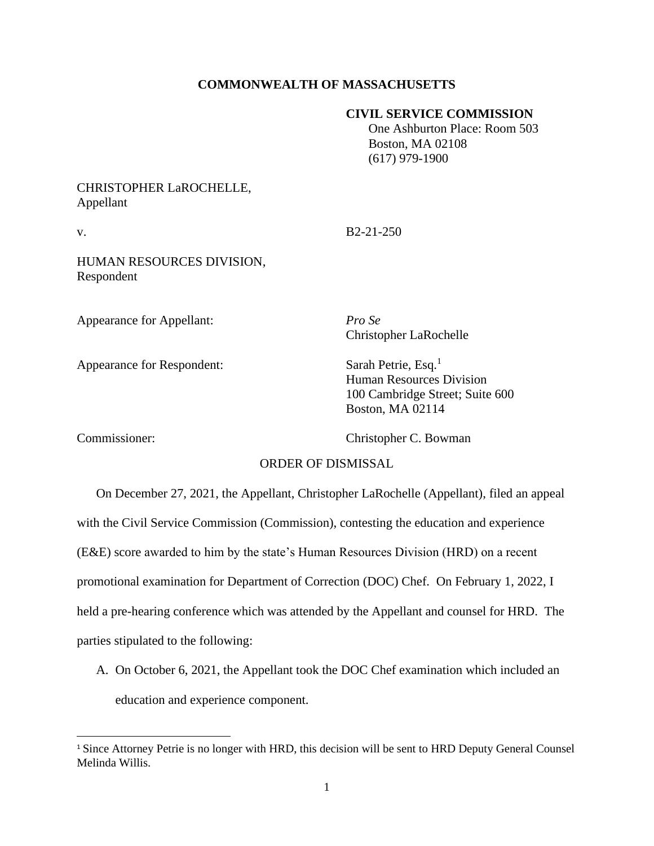## **COMMONWEALTH OF MASSACHUSETTS**

## **CIVIL SERVICE COMMISSION**

 One Ashburton Place: Room 503 Boston, MA 02108 (617) 979-1900

## CHRISTOPHER LaROCHELLE, Appellant

v. B2-21-250

HUMAN RESOURCES DIVISION, Respondent

Appearance for Appellant: *Pro Se*

Appearance for Respondent: Sarah Petrie, Esq.<sup>1</sup>

Christopher LaRochelle

Human Resources Division 100 Cambridge Street; Suite 600 Boston, MA 02114

Commissioner: Christopher C. Bowman

## ORDER OF DISMISSAL

On December 27, 2021, the Appellant, Christopher LaRochelle (Appellant), filed an appeal with the Civil Service Commission (Commission), contesting the education and experience (E&E) score awarded to him by the state's Human Resources Division (HRD) on a recent promotional examination for Department of Correction (DOC) Chef. On February 1, 2022, I held a pre-hearing conference which was attended by the Appellant and counsel for HRD. The parties stipulated to the following:

A. On October 6, 2021, the Appellant took the DOC Chef examination which included an education and experience component.

<sup>&</sup>lt;sup>1</sup> Since Attorney Petrie is no longer with HRD, this decision will be sent to HRD Deputy General Counsel Melinda Willis.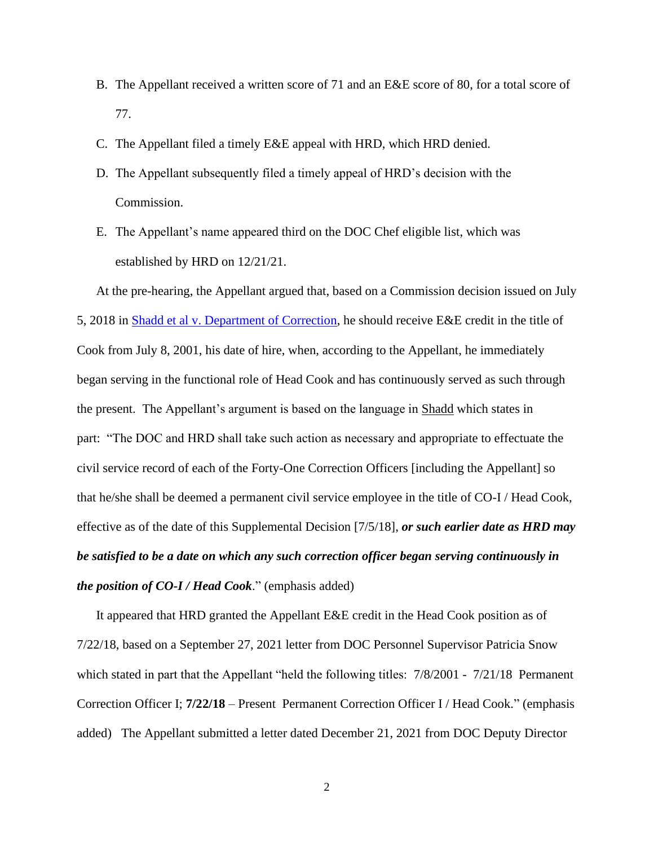- B. The Appellant received a written score of 71 and an E&E score of 80, for a total score of 77.
- C. The Appellant filed a timely E&E appeal with HRD, which HRD denied.
- D. The Appellant subsequently filed a timely appeal of HRD's decision with the Commission.
- E. The Appellant's name appeared third on the DOC Chef eligible list, which was established by HRD on 12/21/21.

At the pre-hearing, the Appellant argued that, based on a Commission decision issued on July 5, 2018 in [Shadd et al v. Department of Correction,](https://www.mass.gov/doc/shadd-michael-v-department-of-correction-32918/download?_ga=2.148457719.1367103467.1651849537-2051250330.1619467899) he should receive E&E credit in the title of Cook from July 8, 2001, his date of hire, when, according to the Appellant, he immediately began serving in the functional role of Head Cook and has continuously served as such through the present. The Appellant's argument is based on the language in Shadd which states in part: "The DOC and HRD shall take such action as necessary and appropriate to effectuate the civil service record of each of the Forty-One Correction Officers [including the Appellant] so that he/she shall be deemed a permanent civil service employee in the title of CO-I / Head Cook, effective as of the date of this Supplemental Decision [7/5/18], *or such earlier date as HRD may be satisfied to be a date on which any such correction officer began serving continuously in the position of CO-I / Head Cook*." (emphasis added)

It appeared that HRD granted the Appellant E&E credit in the Head Cook position as of 7/22/18, based on a September 27, 2021 letter from DOC Personnel Supervisor Patricia Snow which stated in part that the Appellant "held the following titles:  $7/8/2001 - 7/21/18$  Permanent Correction Officer I; **7/22/18** – Present Permanent Correction Officer I / Head Cook." (emphasis added) The Appellant submitted a letter dated December 21, 2021 from DOC Deputy Director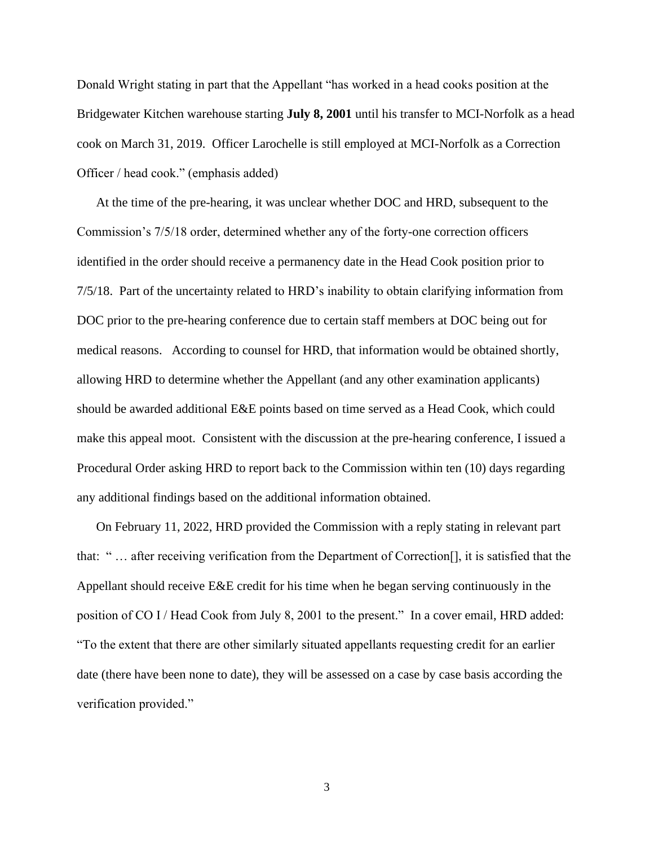Donald Wright stating in part that the Appellant "has worked in a head cooks position at the Bridgewater Kitchen warehouse starting **July 8, 2001** until his transfer to MCI-Norfolk as a head cook on March 31, 2019. Officer Larochelle is still employed at MCI-Norfolk as a Correction Officer / head cook." (emphasis added)

At the time of the pre-hearing, it was unclear whether DOC and HRD, subsequent to the Commission's 7/5/18 order, determined whether any of the forty-one correction officers identified in the order should receive a permanency date in the Head Cook position prior to 7/5/18. Part of the uncertainty related to HRD's inability to obtain clarifying information from DOC prior to the pre-hearing conference due to certain staff members at DOC being out for medical reasons. According to counsel for HRD, that information would be obtained shortly, allowing HRD to determine whether the Appellant (and any other examination applicants) should be awarded additional E&E points based on time served as a Head Cook, which could make this appeal moot. Consistent with the discussion at the pre-hearing conference, I issued a Procedural Order asking HRD to report back to the Commission within ten (10) days regarding any additional findings based on the additional information obtained.

On February 11, 2022, HRD provided the Commission with a reply stating in relevant part that: " … after receiving verification from the Department of Correction[], it is satisfied that the Appellant should receive E&E credit for his time when he began serving continuously in the position of CO I / Head Cook from July 8, 2001 to the present." In a cover email, HRD added: "To the extent that there are other similarly situated appellants requesting credit for an earlier date (there have been none to date), they will be assessed on a case by case basis according the verification provided."

3